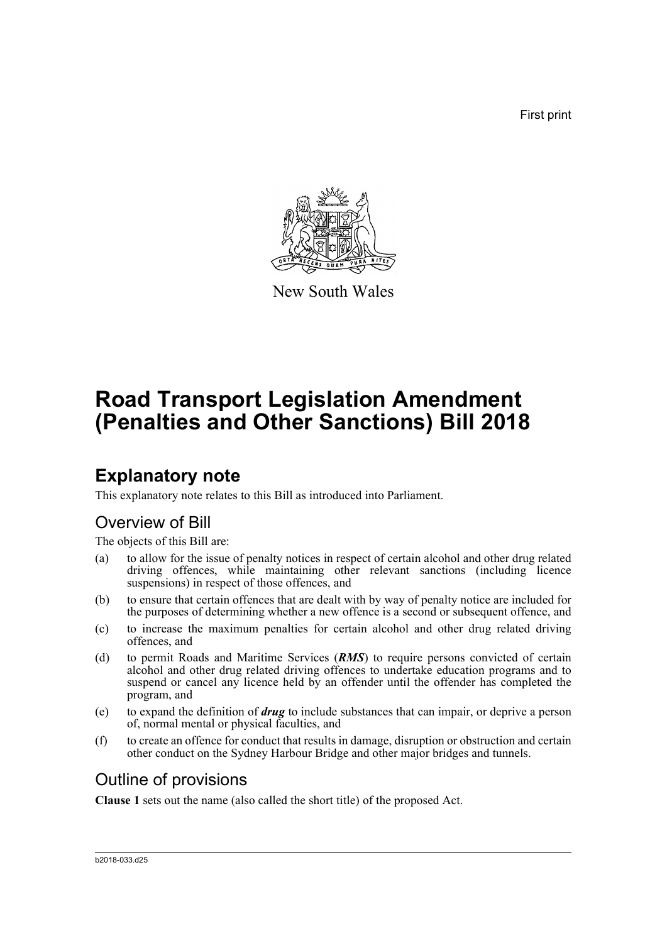First print



New South Wales

# **Road Transport Legislation Amendment (Penalties and Other Sanctions) Bill 2018**

## **Explanatory note**

This explanatory note relates to this Bill as introduced into Parliament.

### Overview of Bill

The objects of this Bill are:

- (a) to allow for the issue of penalty notices in respect of certain alcohol and other drug related driving offences, while maintaining other relevant sanctions (including licence suspensions) in respect of those offences, and
- (b) to ensure that certain offences that are dealt with by way of penalty notice are included for the purposes of determining whether a new offence is a second or subsequent offence, and
- (c) to increase the maximum penalties for certain alcohol and other drug related driving offences, and
- (d) to permit Roads and Maritime Services (*RMS*) to require persons convicted of certain alcohol and other drug related driving offences to undertake education programs and to suspend or cancel any licence held by an offender until the offender has completed the program, and
- (e) to expand the definition of *drug* to include substances that can impair, or deprive a person of, normal mental or physical faculties, and
- (f) to create an offence for conduct that results in damage, disruption or obstruction and certain other conduct on the Sydney Harbour Bridge and other major bridges and tunnels.

### Outline of provisions

**Clause 1** sets out the name (also called the short title) of the proposed Act.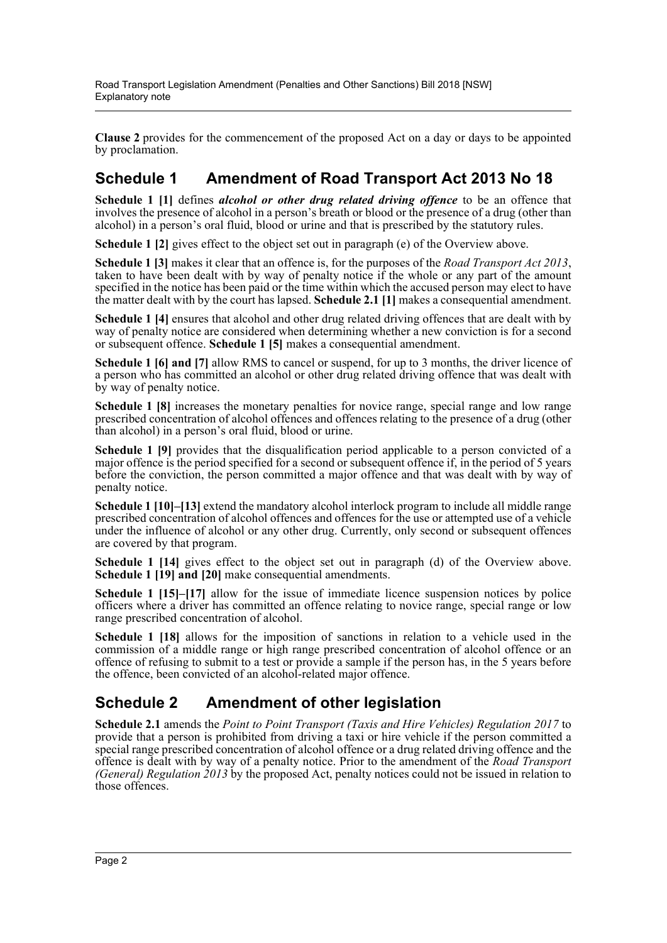**Clause 2** provides for the commencement of the proposed Act on a day or days to be appointed by proclamation.

### **Schedule 1 Amendment of Road Transport Act 2013 No 18**

**Schedule 1 [1]** defines *alcohol or other drug related driving offence* to be an offence that involves the presence of alcohol in a person's breath or blood or the presence of a drug (other than alcohol) in a person's oral fluid, blood or urine and that is prescribed by the statutory rules.

**Schedule 1 [2]** gives effect to the object set out in paragraph (e) of the Overview above.

**Schedule 1 [3]** makes it clear that an offence is, for the purposes of the *Road Transport Act 2013*, taken to have been dealt with by way of penalty notice if the whole or any part of the amount specified in the notice has been paid or the time within which the accused person may elect to have the matter dealt with by the court has lapsed. **Schedule 2.1 [1]** makes a consequential amendment.

**Schedule 1 [4]** ensures that alcohol and other drug related driving offences that are dealt with by way of penalty notice are considered when determining whether a new conviction is for a second or subsequent offence. **Schedule 1 [5]** makes a consequential amendment.

**Schedule 1 [6] and [7]** allow RMS to cancel or suspend, for up to 3 months, the driver licence of a person who has committed an alcohol or other drug related driving offence that was dealt with by way of penalty notice.

**Schedule 1 [8]** increases the monetary penalties for novice range, special range and low range prescribed concentration of alcohol offences and offences relating to the presence of a drug (other than alcohol) in a person's oral fluid, blood or urine.

**Schedule 1 [9]** provides that the disqualification period applicable to a person convicted of a major offence is the period specified for a second or subsequent offence if, in the period of 5 years before the conviction, the person committed a major offence and that was dealt with by way of penalty notice.

**Schedule 1 [10]–[13]** extend the mandatory alcohol interlock program to include all middle range prescribed concentration of alcohol offences and offences for the use or attempted use of a vehicle under the influence of alcohol or any other drug. Currently, only second or subsequent offences are covered by that program.

**Schedule 1 [14]** gives effect to the object set out in paragraph (d) of the Overview above. **Schedule 1 [19] and [20]** make consequential amendments.

**Schedule 1 [15]–[17]** allow for the issue of immediate licence suspension notices by police officers where a driver has committed an offence relating to novice range, special range or low range prescribed concentration of alcohol.

**Schedule 1 [18]** allows for the imposition of sanctions in relation to a vehicle used in the commission of a middle range or high range prescribed concentration of alcohol offence or an offence of refusing to submit to a test or provide a sample if the person has, in the 5 years before the offence, been convicted of an alcohol-related major offence.

### **Schedule 2 Amendment of other legislation**

**Schedule 2.1** amends the *Point to Point Transport (Taxis and Hire Vehicles) Regulation 2017* to provide that a person is prohibited from driving a taxi or hire vehicle if the person committed a special range prescribed concentration of alcohol offence or a drug related driving offence and the offence is dealt with by way of a penalty notice. Prior to the amendment of the *Road Transport (General) Regulation 2013* by the proposed Act, penalty notices could not be issued in relation to those offences.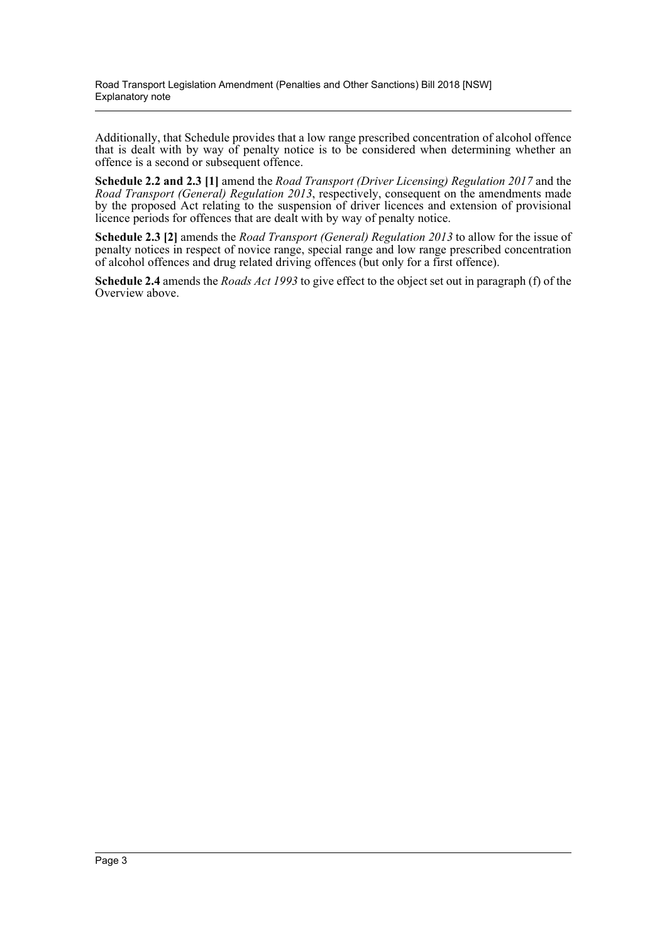Additionally, that Schedule provides that a low range prescribed concentration of alcohol offence that is dealt with by way of penalty notice is to be considered when determining whether an offence is a second or subsequent offence.

**Schedule 2.2 and 2.3 [1]** amend the *Road Transport (Driver Licensing) Regulation 2017* and the *Road Transport (General) Regulation 2013*, respectively, consequent on the amendments made by the proposed Act relating to the suspension of driver licences and extension of provisional licence periods for offences that are dealt with by way of penalty notice.

**Schedule 2.3 [2]** amends the *Road Transport (General) Regulation 2013* to allow for the issue of penalty notices in respect of novice range, special range and low range prescribed concentration of alcohol offences and drug related driving offences (but only for a first offence).

**Schedule 2.4** amends the *Roads Act 1993* to give effect to the object set out in paragraph (f) of the Overview above.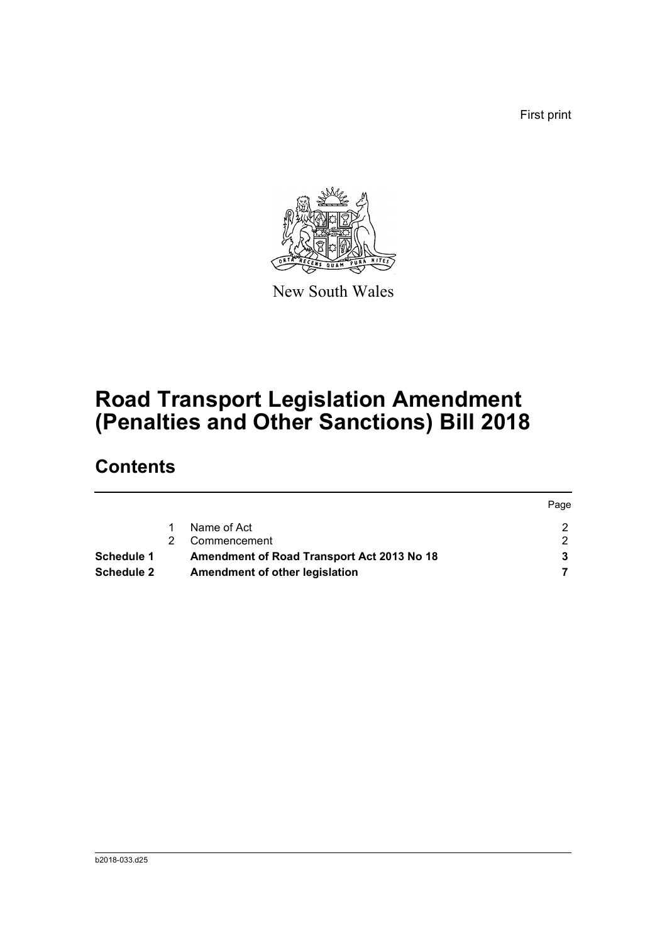First print

Page



New South Wales

## **Road Transport Legislation Amendment (Penalties and Other Sanctions) Bill 2018**

## **Contents**

|                                                          |    |                                | <b>Page</b> |
|----------------------------------------------------------|----|--------------------------------|-------------|
|                                                          |    | Name of Act                    |             |
|                                                          | 2. | Commencement                   |             |
| Amendment of Road Transport Act 2013 No 18<br>Schedule 1 |    |                                |             |
| <b>Schedule 2</b>                                        |    | Amendment of other legislation |             |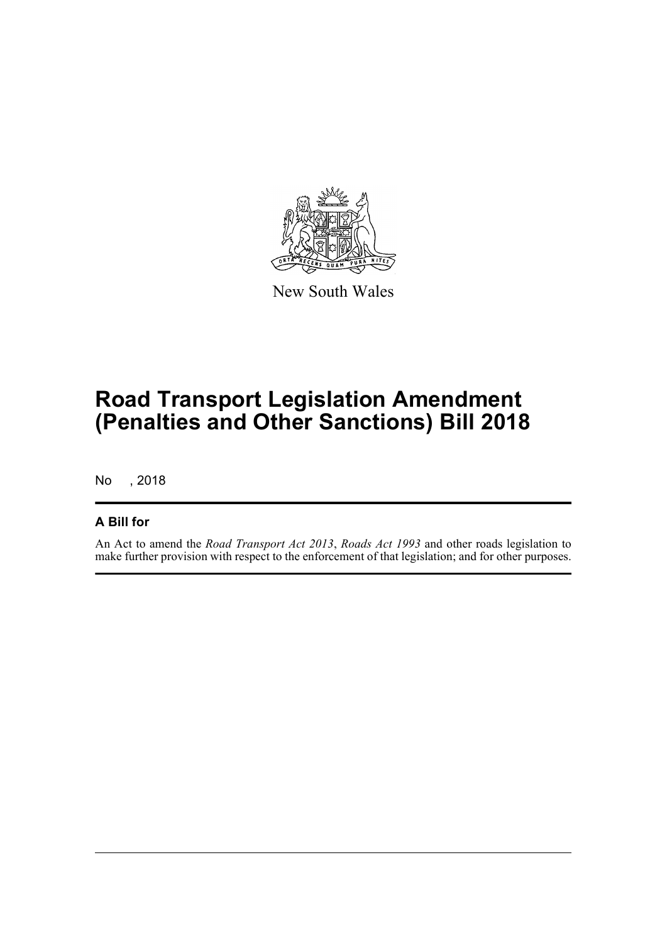

New South Wales

## **Road Transport Legislation Amendment (Penalties and Other Sanctions) Bill 2018**

No , 2018

#### **A Bill for**

An Act to amend the *Road Transport Act 2013*, *Roads Act 1993* and other roads legislation to make further provision with respect to the enforcement of that legislation; and for other purposes.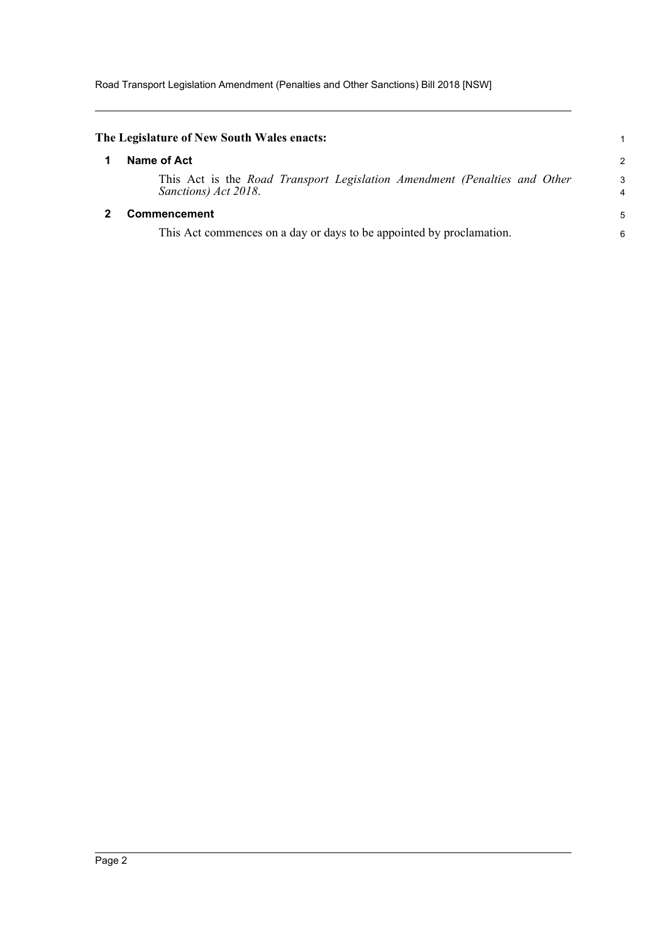Road Transport Legislation Amendment (Penalties and Other Sanctions) Bill 2018 [NSW]

<span id="page-5-1"></span><span id="page-5-0"></span>

| The Legislature of New South Wales enacts:                                                        |                     |
|---------------------------------------------------------------------------------------------------|---------------------|
| Name of Act                                                                                       | 2                   |
| This Act is the Road Transport Legislation Amendment (Penalties and Other<br>Sanctions) Act 2018. | 3<br>$\overline{4}$ |
| <b>Commencement</b>                                                                               | 5                   |
| This Act commences on a day or days to be appointed by proclamation.                              | 6                   |
|                                                                                                   |                     |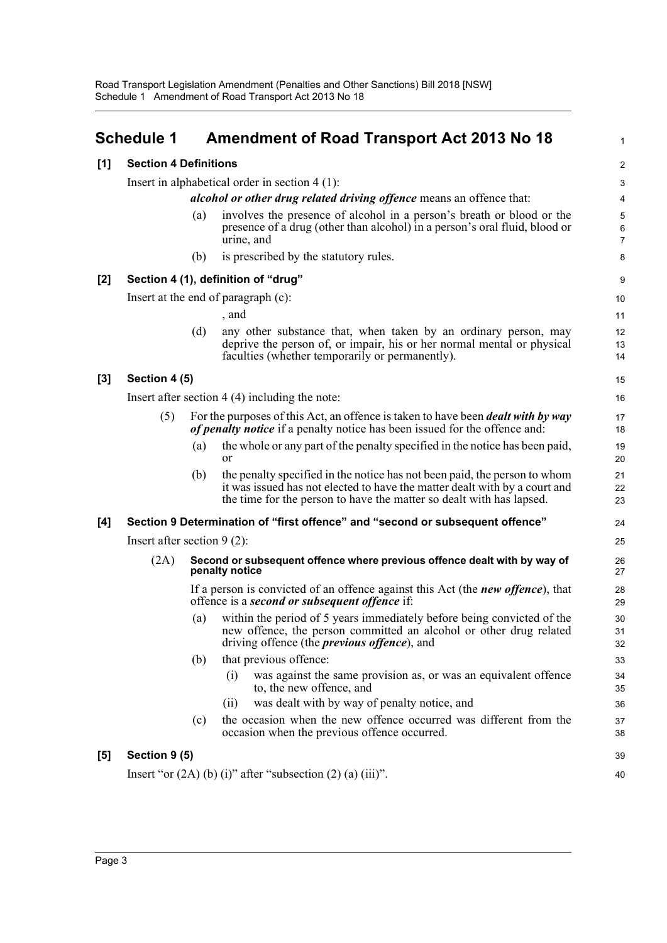<span id="page-6-0"></span>

|       | <b>Schedule 1</b>             |     | <b>Amendment of Road Transport Act 2013 No 18</b>                                                                                                                                                                               | 1              |
|-------|-------------------------------|-----|---------------------------------------------------------------------------------------------------------------------------------------------------------------------------------------------------------------------------------|----------------|
| [1]   | <b>Section 4 Definitions</b>  |     |                                                                                                                                                                                                                                 | $\overline{c}$ |
|       |                               |     | Insert in alphabetical order in section $4(1)$ :                                                                                                                                                                                | 3              |
|       |                               |     | alcohol or other drug related driving offence means an offence that:                                                                                                                                                            | 4              |
|       |                               | (a) | involves the presence of alcohol in a person's breath or blood or the<br>presence of a drug (other than alcohol) in a person's oral fluid, blood or<br>urine, and                                                               | 5<br>6<br>7    |
|       |                               | (b) | is prescribed by the statutory rules.                                                                                                                                                                                           | 8              |
| $[2]$ |                               |     | Section 4 (1), definition of "drug"                                                                                                                                                                                             | 9              |
|       |                               |     | Insert at the end of paragraph (c):                                                                                                                                                                                             | 10             |
|       |                               |     | , and                                                                                                                                                                                                                           | 11             |
|       |                               | (d) | any other substance that, when taken by an ordinary person, may<br>deprive the person of, or impair, his or her normal mental or physical<br>faculties (whether temporarily or permanently).                                    | 12<br>13<br>14 |
| $[3]$ | Section 4 (5)                 |     |                                                                                                                                                                                                                                 | 15             |
|       |                               |     | Insert after section $4(4)$ including the note:                                                                                                                                                                                 | 16             |
|       | (5)                           |     | For the purposes of this Act, an offence is taken to have been <i>dealt with by way</i><br>of penalty notice if a penalty notice has been issued for the offence and:                                                           | 17<br>18       |
|       |                               | (a) | the whole or any part of the penalty specified in the notice has been paid,<br><b>or</b>                                                                                                                                        | 19<br>20       |
|       |                               | (b) | the penalty specified in the notice has not been paid, the person to whom<br>it was issued has not elected to have the matter dealt with by a court and<br>the time for the person to have the matter so dealt with has lapsed. | 21<br>22<br>23 |
| [4]   |                               |     | Section 9 Determination of "first offence" and "second or subsequent offence"                                                                                                                                                   | 24             |
|       | Insert after section $9(2)$ : |     |                                                                                                                                                                                                                                 | 25             |
|       | (2A)                          |     | Second or subsequent offence where previous offence dealt with by way of<br>penalty notice                                                                                                                                      | 26<br>27       |
|       |                               |     | If a person is convicted of an offence against this Act (the <i>new offence</i> ), that<br>offence is a second or subsequent offence if:                                                                                        | 28<br>29       |
|       |                               | (a) | within the period of 5 years immediately before being convicted of the<br>new offence, the person committed an alcohol or other drug related<br>driving offence (the <i>previous offence</i> ), and                             | 30<br>31<br>32 |
|       |                               | (b) | that previous offence:                                                                                                                                                                                                          | 33             |
|       |                               |     | was against the same provision as, or was an equivalent offence<br>(i)<br>to, the new offence, and                                                                                                                              | 34<br>35       |
|       |                               |     | was dealt with by way of penalty notice, and<br>(i)                                                                                                                                                                             | 36             |
|       |                               | (c) | the occasion when the new offence occurred was different from the<br>occasion when the previous offence occurred.                                                                                                               | 37<br>38       |
| $[5]$ | Section 9 (5)                 |     |                                                                                                                                                                                                                                 | 39             |
|       |                               |     | Insert "or $(2A)$ (b) (i)" after "subsection $(2)$ (a) (iii)".                                                                                                                                                                  | 40             |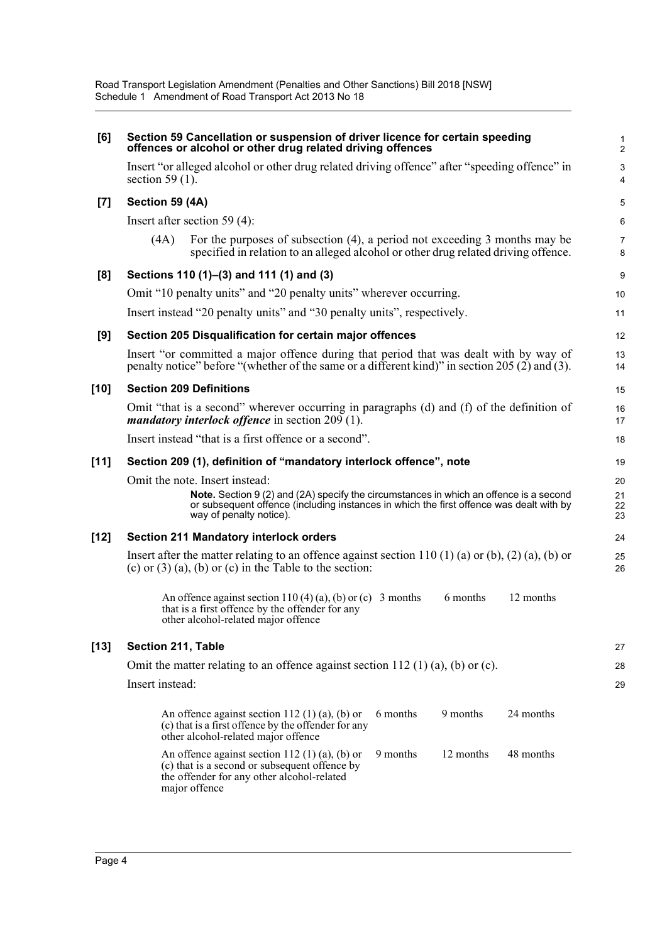| [6]    | Section 59 Cancellation or suspension of driver licence for certain speeding<br>offences or alcohol or other drug related driving offences                                                                   |                     |  |  |
|--------|--------------------------------------------------------------------------------------------------------------------------------------------------------------------------------------------------------------|---------------------|--|--|
|        | Insert "or alleged alcohol or other drug related driving offence" after "speeding offence" in<br>section 59 $(1)$ .                                                                                          | 3<br>4              |  |  |
| [7]    | Section 59 (4A)                                                                                                                                                                                              | 5                   |  |  |
|        | Insert after section 59 $(4)$ :                                                                                                                                                                              | 6                   |  |  |
|        | For the purposes of subsection (4), a period not exceeding 3 months may be<br>(4A)<br>specified in relation to an alleged alcohol or other drug related driving offence.                                     | $\overline{7}$<br>8 |  |  |
| [8]    | Sections 110 (1)–(3) and 111 (1) and (3)                                                                                                                                                                     | 9                   |  |  |
|        | Omit "10 penalty units" and "20 penalty units" wherever occurring.                                                                                                                                           | 10                  |  |  |
|        | Insert instead "20 penalty units" and "30 penalty units", respectively.                                                                                                                                      | 11                  |  |  |
| [9]    | Section 205 Disqualification for certain major offences                                                                                                                                                      | 12                  |  |  |
|        | Insert "or committed a major offence during that period that was dealt with by way of<br>penalty notice" before "(whether of the same or a different kind)" in section 205 (2) and (3).                      | 13<br>14            |  |  |
| $[10]$ | <b>Section 209 Definitions</b>                                                                                                                                                                               | 15                  |  |  |
|        | Omit "that is a second" wherever occurring in paragraphs (d) and (f) of the definition of<br><i>mandatory interlock offence</i> in section $209(1)$ .                                                        | 16<br>17            |  |  |
|        | Insert instead "that is a first offence or a second".                                                                                                                                                        | 18                  |  |  |
| $[11]$ | Section 209 (1), definition of "mandatory interlock offence", note                                                                                                                                           | 19                  |  |  |
|        | Omit the note. Insert instead:                                                                                                                                                                               | 20                  |  |  |
|        | Note. Section 9 (2) and (2A) specify the circumstances in which an offence is a second<br>or subsequent offence (including instances in which the first offence was dealt with by<br>way of penalty notice). | 21<br>22<br>23      |  |  |
| $[12]$ | <b>Section 211 Mandatory interlock orders</b>                                                                                                                                                                | 24                  |  |  |
|        | Insert after the matter relating to an offence against section 110 (1) (a) or (b), (2) (a), (b) or<br>(c) or $(3)$ (a), (b) or (c) in the Table to the section:                                              | 25<br>26            |  |  |
|        | 6 months<br>12 months<br>An offence against section $110(4)(a)$ , (b) or (c) 3 months<br>that is a first offence by the offender for any<br>other alcohol-related major offence                              |                     |  |  |
| $[13]$ | Section 211, Table                                                                                                                                                                                           | 27                  |  |  |
|        | Omit the matter relating to an offence against section $112$ (1) (a), (b) or (c).                                                                                                                            | 28                  |  |  |
|        | Insert instead:                                                                                                                                                                                              | 29                  |  |  |
|        | 9 months<br>24 months<br>6 months<br>An offence against section 112 (1) (a), (b) or<br>(c) that is a first offence by the offender for any<br>other alcohol-related major offence                            |                     |  |  |
|        | 9 months<br>12 months<br>48 months<br>An offence against section 112 (1) (a), (b) or<br>(c) that is a second or subsequent offence by<br>the offender for any other alcohol-related<br>major offence         |                     |  |  |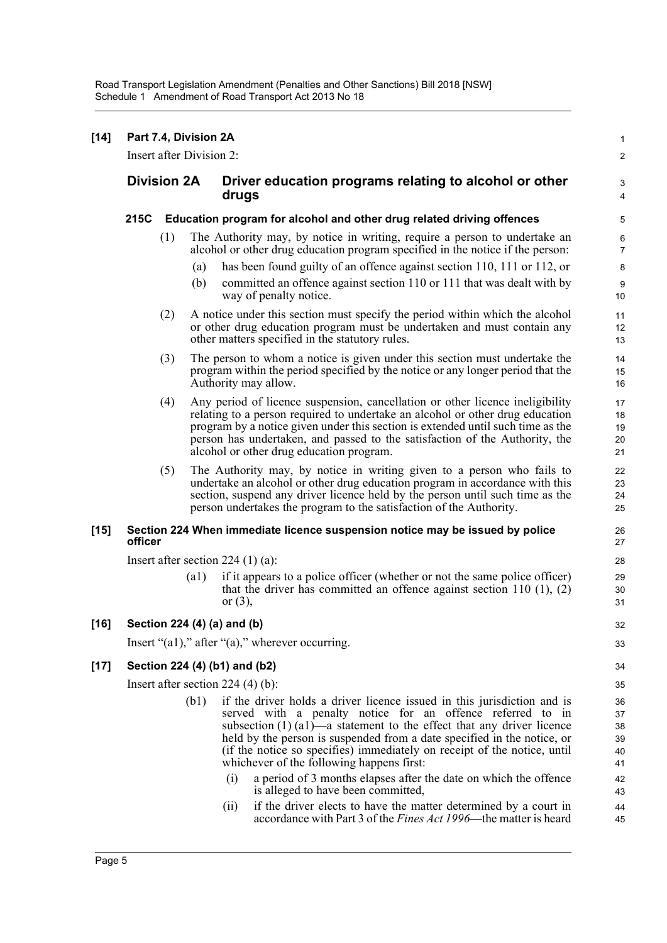| [14]   | Part 7.4, Division 2A<br>Insert after Division 2: |     |      |                                                                                                                                                                                                                                                                                                                                                                                                                                                                                                    |                                        |  |
|--------|---------------------------------------------------|-----|------|----------------------------------------------------------------------------------------------------------------------------------------------------------------------------------------------------------------------------------------------------------------------------------------------------------------------------------------------------------------------------------------------------------------------------------------------------------------------------------------------------|----------------------------------------|--|
|        | <b>Division 2A</b>                                |     |      | Driver education programs relating to alcohol or other<br>drugs                                                                                                                                                                                                                                                                                                                                                                                                                                    |                                        |  |
|        | 215C                                              |     |      | Education program for alcohol and other drug related driving offences                                                                                                                                                                                                                                                                                                                                                                                                                              | 5                                      |  |
|        |                                                   | (1) |      | The Authority may, by notice in writing, require a person to undertake an<br>alcohol or other drug education program specified in the notice if the person:                                                                                                                                                                                                                                                                                                                                        | 6<br>7                                 |  |
|        |                                                   |     | (a)  | has been found guilty of an offence against section 110, 111 or 112, or                                                                                                                                                                                                                                                                                                                                                                                                                            | 8                                      |  |
|        |                                                   |     | (b)  | committed an offence against section 110 or 111 that was dealt with by<br>way of penalty notice.                                                                                                                                                                                                                                                                                                                                                                                                   | $\boldsymbol{9}$<br>$10$               |  |
|        |                                                   | (2) |      | A notice under this section must specify the period within which the alcohol<br>or other drug education program must be undertaken and must contain any<br>other matters specified in the statutory rules.                                                                                                                                                                                                                                                                                         | 11<br>12<br>13                         |  |
|        |                                                   | (3) |      | The person to whom a notice is given under this section must undertake the<br>program within the period specified by the notice or any longer period that the<br>Authority may allow.                                                                                                                                                                                                                                                                                                              | 14<br>15<br>16                         |  |
|        |                                                   | (4) |      | Any period of licence suspension, cancellation or other licence ineligibility<br>relating to a person required to undertake an alcohol or other drug education<br>program by a notice given under this section is extended until such time as the<br>person has undertaken, and passed to the satisfaction of the Authority, the<br>alcohol or other drug education program.                                                                                                                       | 17<br>18<br>19<br>20<br>21             |  |
|        |                                                   | (5) |      | The Authority may, by notice in writing given to a person who fails to<br>undertake an alcohol or other drug education program in accordance with this<br>section, suspend any driver licence held by the person until such time as the<br>person undertakes the program to the satisfaction of the Authority.                                                                                                                                                                                     | 22<br>23<br>24<br>25                   |  |
| $[15]$ | officer                                           |     |      | Section 224 When immediate licence suspension notice may be issued by police                                                                                                                                                                                                                                                                                                                                                                                                                       | 26<br>27                               |  |
|        | Insert after section $224(1)(a)$ :                |     |      |                                                                                                                                                                                                                                                                                                                                                                                                                                                                                                    |                                        |  |
|        |                                                   |     | (a1) | if it appears to a police officer (whether or not the same police officer)<br>that the driver has committed an offence against section $110(1)$ , $(2)$<br>or $(3)$ ,                                                                                                                                                                                                                                                                                                                              | 29<br>30<br>31                         |  |
| [16]   |                                                   |     |      | Section 224 (4) (a) and (b)                                                                                                                                                                                                                                                                                                                                                                                                                                                                        | 32                                     |  |
|        |                                                   |     |      | Insert " $(a1)$ ," after " $(a)$ ," wherever occurring.                                                                                                                                                                                                                                                                                                                                                                                                                                            | 33                                     |  |
| [17]   | Section 224 (4) (b1) and (b2)                     |     |      |                                                                                                                                                                                                                                                                                                                                                                                                                                                                                                    |                                        |  |
|        | Insert after section $224$ (4) (b):               |     |      |                                                                                                                                                                                                                                                                                                                                                                                                                                                                                                    |                                        |  |
|        |                                                   |     | (b1) | if the driver holds a driver licence issued in this jurisdiction and is<br>served with a penalty notice for an offence referred to in<br>subsection $(1)$ $(a1)$ —a statement to the effect that any driver licence<br>held by the person is suspended from a date specified in the notice, or<br>(if the notice so specifies) immediately on receipt of the notice, until<br>whichever of the following happens first:<br>(i)<br>a period of 3 months elapses after the date on which the offence | 36<br>37<br>38<br>39<br>40<br>41<br>42 |  |
|        |                                                   |     |      | is alleged to have been committed,<br>if the driver elects to have the matter determined by a court in<br>(11)<br>accordance with Part 3 of the <i>Fines Act 1996</i> —the matter is heard                                                                                                                                                                                                                                                                                                         | 43<br>44<br>45                         |  |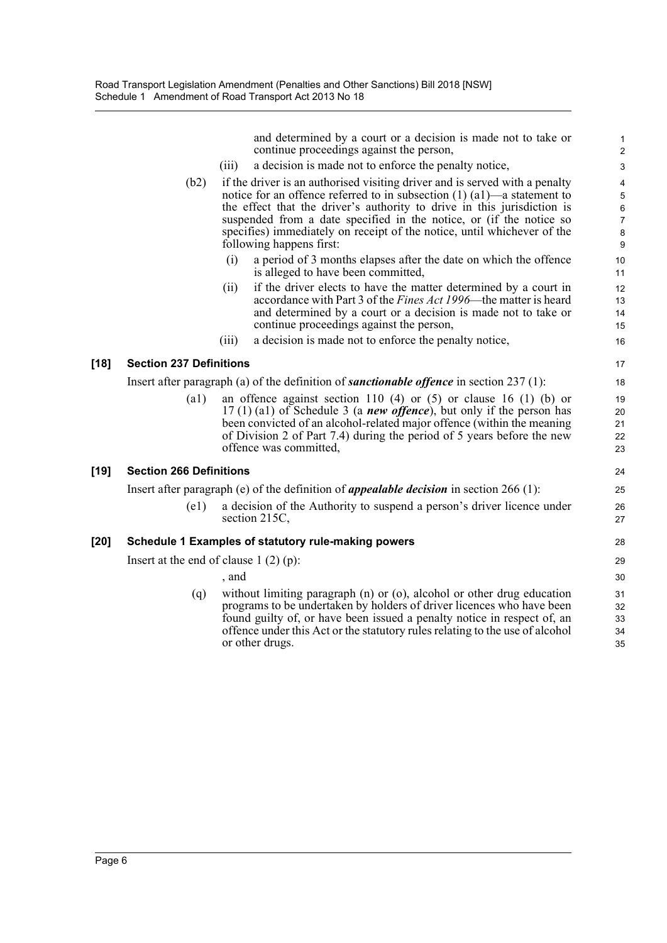and determined by a court or a decision is made not to take or continue proceedings against the person, 2

1

14 13

22 21 20

34 33 32

- (iii) a decision is made not to enforce the penalty notice, 3
- (b2) if the driver is an authorised visiting driver and is served with a penalty 4 notice for an offence referred to in subsection (1) (a1)—a statement to the effect that the driver's authority to drive in this jurisdiction is suspended from a date specified in the notice, or (if the notice so specifies) immediately on receipt of the notice, until whichever of the following happens first: 9
	- (i) a period of 3 months elapses after the date on which the offence 10 is alleged to have been committed, 11
	- (ii) if the driver elects to have the matter determined by a court in 12 accordance with Part 3 of the *Fines Act 1996*—the matter is heard and determined by a court or a decision is made not to take or continue proceedings against the person, 15
	- (iii) a decision is made not to enforce the penalty notice, 16

#### **[18] Section 237 Definitions** 17

Insert after paragraph (a) of the definition of *sanctionable offence* in section 237 (1): 18

(a1) an offence against section 110 (4) or  $(5)$  or clause 16 (1) (b) or 19 17 (1) (a1) of Schedule 3 (a *new offence*), but only if the person has been convicted of an alcohol-related major offence (within the meaning of Division 2 of Part 7.4) during the period of 5 years before the new offence was committed, 23

#### **[19] Section 266 Definitions** 24

Insert after paragraph (e) of the definition of *appealable decision* in section 266 (1): 25

(e1) a decision of the Authority to suspend a person's driver licence under 26 section 215C, 27

#### **[20] Schedule 1 Examples of statutory rule-making powers** 28

Insert at the end of clause 1 (2) (p): 29

 $,$  and  $,$  30

(q) without limiting paragraph (n) or (o), alcohol or other drug education 31 programs to be undertaken by holders of driver licences who have been found guilty of, or have been issued a penalty notice in respect of, an offence under this Act or the statutory rules relating to the use of alcohol or other drugs. 35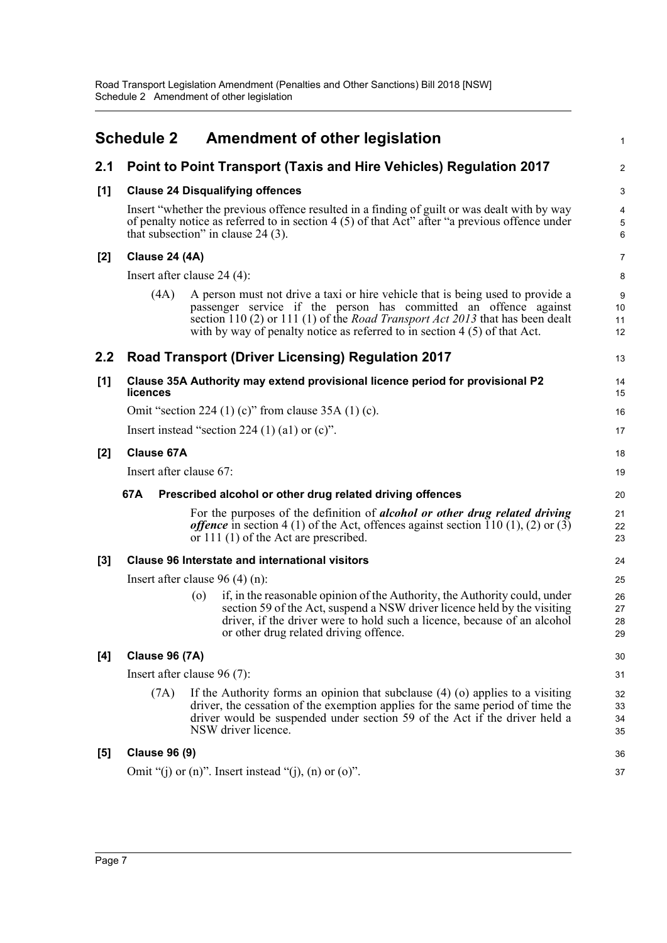<span id="page-10-0"></span>

|       | <b>Schedule 2</b>                |                    | Amendment of other legislation                                                                                                                                                                                                                                                                                            | $\mathbf{1}$         |
|-------|----------------------------------|--------------------|---------------------------------------------------------------------------------------------------------------------------------------------------------------------------------------------------------------------------------------------------------------------------------------------------------------------------|----------------------|
| 2.1   |                                  |                    | Point to Point Transport (Taxis and Hire Vehicles) Regulation 2017                                                                                                                                                                                                                                                        | 2                    |
| [1]   |                                  |                    | <b>Clause 24 Disqualifying offences</b>                                                                                                                                                                                                                                                                                   | 3                    |
|       |                                  |                    | Insert "whether the previous offence resulted in a finding of guilt or was dealt with by way<br>of penalty notice as referred to in section 4 (5) of that Act" after "a previous offence under<br>that subsection" in clause $24(3)$ .                                                                                    | 4<br>$\sqrt{5}$<br>6 |
| $[2]$ | <b>Clause 24 (4A)</b>            |                    |                                                                                                                                                                                                                                                                                                                           | 7                    |
|       | Insert after clause $24(4)$ :    |                    |                                                                                                                                                                                                                                                                                                                           | 8                    |
|       | (4A)                             |                    | A person must not drive a taxi or hire vehicle that is being used to provide a<br>passenger service if the person has committed an offence against<br>section 110 (2) or 111 (1) of the <i>Road Transport Act 2013</i> that has been dealt<br>with by way of penalty notice as referred to in section $4(5)$ of that Act. | 9<br>10<br>11<br>12  |
| 2.2   |                                  |                    | <b>Road Transport (Driver Licensing) Regulation 2017</b>                                                                                                                                                                                                                                                                  | 13                   |
| [1]   | licences                         |                    | Clause 35A Authority may extend provisional licence period for provisional P2                                                                                                                                                                                                                                             | 14<br>15             |
|       |                                  |                    | Omit "section 224 (1) (c)" from clause $35A(1)$ (c).                                                                                                                                                                                                                                                                      | 16                   |
|       |                                  |                    | Insert instead "section 224 $(1)$ $(1)$ or $(c)$ ".                                                                                                                                                                                                                                                                       | 17                   |
| $[2]$ | <b>Clause 67A</b>                |                    |                                                                                                                                                                                                                                                                                                                           | 18                   |
|       | Insert after clause 67:          |                    |                                                                                                                                                                                                                                                                                                                           | 19                   |
|       | 67A                              |                    | Prescribed alcohol or other drug related driving offences                                                                                                                                                                                                                                                                 | 20                   |
|       |                                  |                    | For the purposes of the definition of <i>alcohol or other drug related driving</i><br><i>offence</i> in section 4 (1) of the Act, offences against section 110 (1), (2) or (3)<br>or 111 (1) of the Act are prescribed.                                                                                                   | 21<br>22<br>23       |
| [3]   |                                  |                    | <b>Clause 96 Interstate and international visitors</b>                                                                                                                                                                                                                                                                    | 24                   |
|       | Insert after clause $96(4)(n)$ : |                    |                                                                                                                                                                                                                                                                                                                           | 25                   |
|       |                                  | $\left( 0 \right)$ | if, in the reasonable opinion of the Authority, the Authority could, under<br>section 59 of the Act, suspend a NSW driver licence held by the visiting<br>driver, if the driver were to hold such a licence, because of an alcohol<br>or other drug related driving offence.                                              | 26<br>27<br>28<br>29 |
| [4]   | <b>Clause 96 (7A)</b>            |                    |                                                                                                                                                                                                                                                                                                                           | 30                   |
|       | Insert after clause 96 (7):      |                    |                                                                                                                                                                                                                                                                                                                           | 31                   |
|       | (7A)                             |                    | If the Authority forms an opinion that subclause $(4)$ (o) applies to a visiting<br>driver, the cessation of the exemption applies for the same period of time the<br>driver would be suspended under section 59 of the Act if the driver held a<br>NSW driver licence.                                                   | 32<br>33<br>34<br>35 |
| [5]   | <b>Clause 96 (9)</b>             |                    |                                                                                                                                                                                                                                                                                                                           | 36                   |
|       |                                  |                    | Omit "(j) or $(n)$ ". Insert instead "(j), $(n)$ or $(o)$ ".                                                                                                                                                                                                                                                              | 37                   |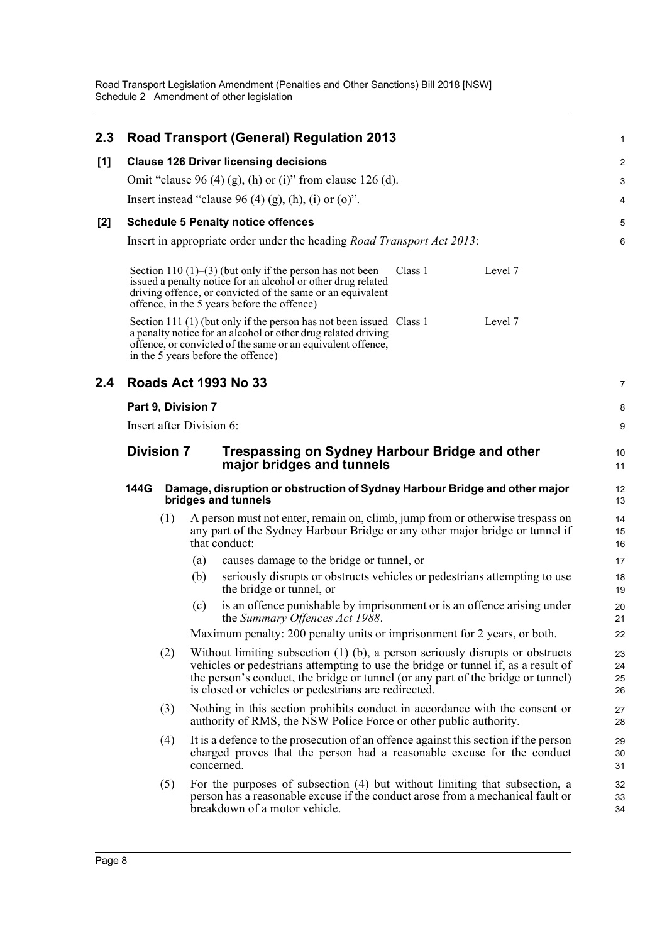Road Transport Legislation Amendment (Penalties and Other Sanctions) Bill 2018 [NSW] Schedule 2 Amendment of other legislation

| 2.3   |                                                                                                           | <b>Road Transport (General) Regulation 2013</b>                                                                                                                                                                                                                                                                  | 1                       |
|-------|-----------------------------------------------------------------------------------------------------------|------------------------------------------------------------------------------------------------------------------------------------------------------------------------------------------------------------------------------------------------------------------------------------------------------------------|-------------------------|
| [1]   |                                                                                                           | <b>Clause 126 Driver licensing decisions</b>                                                                                                                                                                                                                                                                     | $\overline{\mathbf{c}}$ |
|       |                                                                                                           | Omit "clause 96 (4) (g), (h) or (i)" from clause 126 (d).                                                                                                                                                                                                                                                        | 3                       |
|       |                                                                                                           | Insert instead "clause 96 (4) (g), (h), (i) or (o)".                                                                                                                                                                                                                                                             | 4                       |
| $[2]$ |                                                                                                           | <b>Schedule 5 Penalty notice offences</b>                                                                                                                                                                                                                                                                        | 5                       |
|       |                                                                                                           | Insert in appropriate order under the heading <i>Road Transport Act 2013</i> :                                                                                                                                                                                                                                   | 6                       |
|       |                                                                                                           | Section 110 $(1)$ – $(3)$ (but only if the person has not been<br>Class 1<br>Level 7<br>issued a penalty notice for an alcohol or other drug related<br>driving offence, or convicted of the same or an equivalent<br>offence, in the 5 years before the offence)                                                |                         |
|       |                                                                                                           | Section 111 (1) (but only if the person has not been issued Class 1<br>Level 7<br>a penalty notice for an alcohol or other drug related driving<br>offence, or convicted of the same or an equivalent offence,<br>in the 5 years before the offence)                                                             |                         |
| 2.4   |                                                                                                           | <b>Roads Act 1993 No 33</b>                                                                                                                                                                                                                                                                                      | 7                       |
|       | Part 9, Division 7                                                                                        |                                                                                                                                                                                                                                                                                                                  | 8                       |
|       | Insert after Division 6:                                                                                  |                                                                                                                                                                                                                                                                                                                  | 9                       |
|       | <b>Division 7</b>                                                                                         | <b>Trespassing on Sydney Harbour Bridge and other</b><br>major bridges and tunnels                                                                                                                                                                                                                               | 10<br>11                |
|       | Damage, disruption or obstruction of Sydney Harbour Bridge and other major<br>144G<br>bridges and tunnels |                                                                                                                                                                                                                                                                                                                  |                         |
|       | (1)                                                                                                       | A person must not enter, remain on, climb, jump from or otherwise trespass on<br>any part of the Sydney Harbour Bridge or any other major bridge or tunnel if<br>that conduct:                                                                                                                                   | 14<br>15<br>16          |
|       |                                                                                                           | causes damage to the bridge or tunnel, or<br>(a)                                                                                                                                                                                                                                                                 | 17                      |
|       |                                                                                                           | seriously disrupts or obstructs vehicles or pedestrians attempting to use<br>(b)<br>the bridge or tunnel, or                                                                                                                                                                                                     | 18<br>19                |
|       |                                                                                                           | is an offence punishable by imprisonment or is an offence arising under<br>(c)<br>the Summary Offences Act 1988.                                                                                                                                                                                                 | 20<br>21                |
|       |                                                                                                           | Maximum penalty: 200 penalty units or imprisonment for 2 years, or both.                                                                                                                                                                                                                                         | 22                      |
|       | (2)                                                                                                       | Without limiting subsection $(1)$ (b), a person seriously disrupts or obstructs<br>vehicles or pedestrians attempting to use the bridge or tunnel if, as a result of<br>the person's conduct, the bridge or tunnel (or any part of the bridge or tunnel)<br>is closed or vehicles or pedestrians are redirected. | 23<br>24<br>25<br>26    |
|       | (3)                                                                                                       | Nothing in this section prohibits conduct in accordance with the consent or<br>authority of RMS, the NSW Police Force or other public authority.                                                                                                                                                                 | 27<br>28                |
|       | (4)                                                                                                       | It is a defence to the prosecution of an offence against this section if the person<br>charged proves that the person had a reasonable excuse for the conduct<br>concerned.                                                                                                                                      | 29<br>30<br>31          |
|       | (5)                                                                                                       | For the purposes of subsection (4) but without limiting that subsection, a<br>person has a reasonable excuse if the conduct arose from a mechanical fault or<br>breakdown of a motor vehicle.                                                                                                                    | 32<br>33<br>34          |